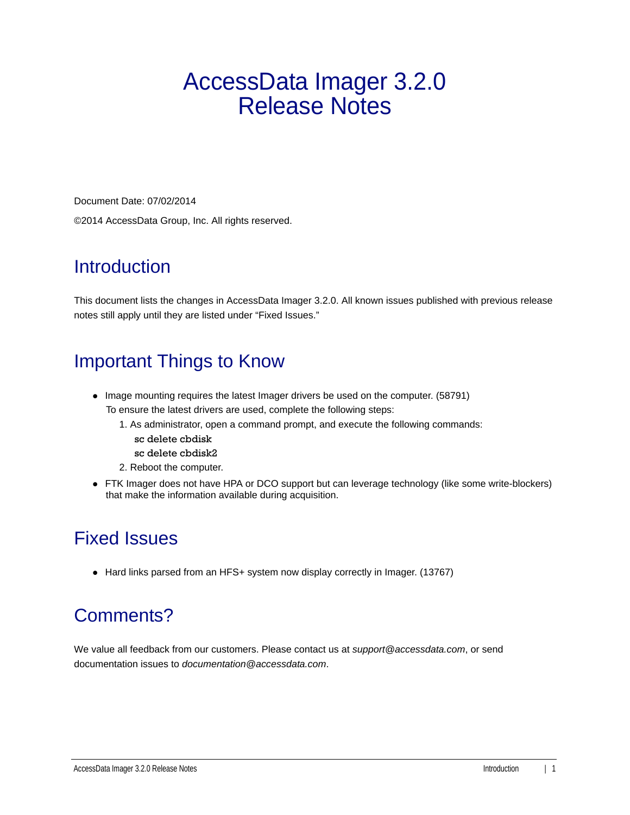# AccessData Imager 3.2.0 Release Notes

Document Date: 07/02/2014 ©2014 AccessData Group, Inc. All rights reserved.

#### **Introduction**

This document lists the changes in AccessData Imager 3.2.0. All known issues published with previous release notes still apply until they are listed under "Fixed Issues."

### Important Things to Know

- Image mounting requires the latest Imager drivers be used on the computer. (58791) To ensure the latest drivers are used, complete the following steps:
	- 1. As administrator, open a command prompt, and execute the following commands:
		- sc delete cbdisk
		- sc delete cbdisk2
	- 2. Reboot the computer.
- FTK Imager does not have HPA or DCO support but can leverage technology (like some write-blockers) that make the information available during acquisition.

### Fixed Issues

• Hard links parsed from an HFS+ system now display correctly in Imager. (13767)

# Comments?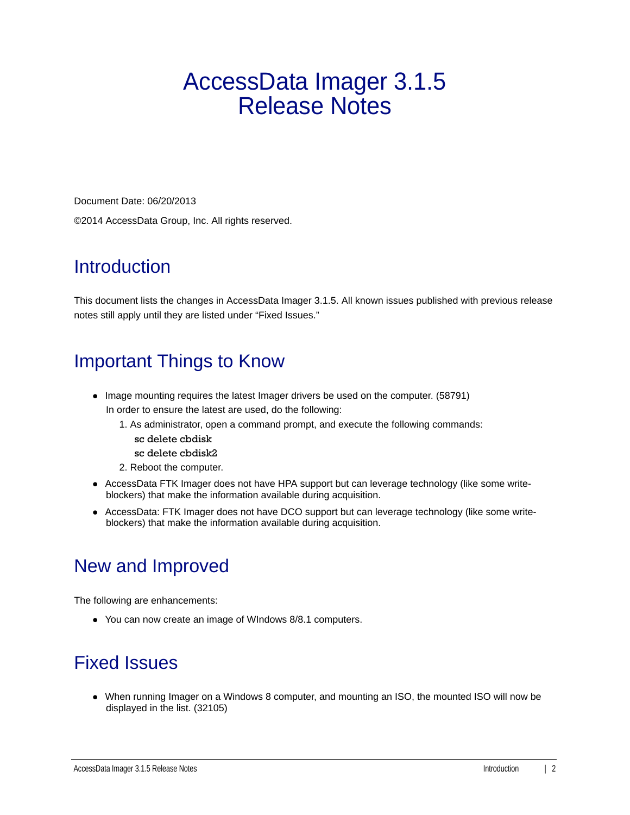# AccessData Imager 3.1.5 Release Notes

Document Date: 06/20/2013 ©2014 AccessData Group, Inc. All rights reserved.

#### **Introduction**

This document lists the changes in AccessData Imager 3.1.5. All known issues published with previous release notes still apply until they are listed under "Fixed Issues."

### Important Things to Know

- Image mounting requires the latest Imager drivers be used on the computer. (58791) In order to ensure the latest are used, do the following:
	- 1. As administrator, open a command prompt, and execute the following commands:
		- sc delete cbdisk
		- sc delete cbdisk2
	- 2. Reboot the computer.
- AccessData FTK Imager does not have HPA support but can leverage technology (like some writeblockers) that make the information available during acquisition.
- AccessData: FTK Imager does not have DCO support but can leverage technology (like some writeblockers) that make the information available during acquisition.

### New and Improved

The following are enhancements:

You can now create an image of WIndows 8/8.1 computers.

### Fixed Issues

When running Imager on a Windows 8 computer, and mounting an ISO, the mounted ISO will now be displayed in the list. (32105)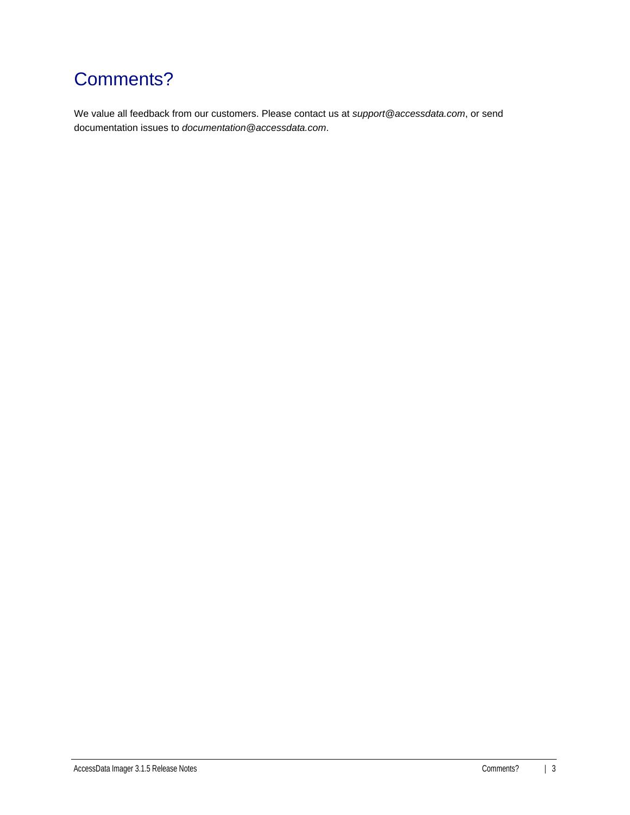## Comments?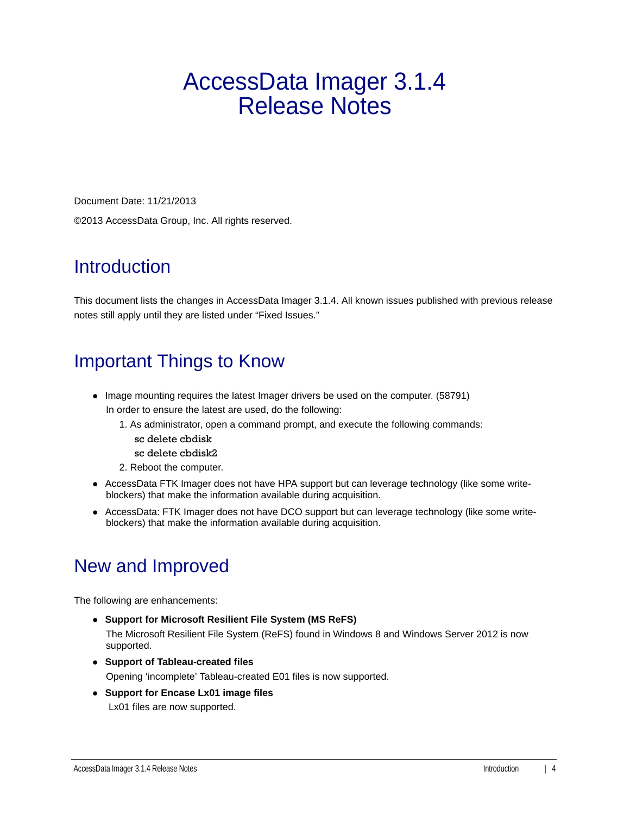# AccessData Imager 3.1.4 Release Notes

Document Date: 11/21/2013 ©2013 AccessData Group, Inc. All rights reserved.

#### **Introduction**

This document lists the changes in AccessData Imager 3.1.4. All known issues published with previous release notes still apply until they are listed under "Fixed Issues."

#### Important Things to Know

- Image mounting requires the latest Imager drivers be used on the computer. (58791) In order to ensure the latest are used, do the following:
	- 1. As administrator, open a command prompt, and execute the following commands:
		- sc delete cbdisk
		- sc delete cbdisk2
	- 2. Reboot the computer.
- AccessData FTK Imager does not have HPA support but can leverage technology (like some writeblockers) that make the information available during acquisition.
- AccessData: FTK Imager does not have DCO support but can leverage technology (like some writeblockers) that make the information available during acquisition.

### New and Improved

The following are enhancements:

- **Support for Microsoft Resilient File System (MS ReFS)** The Microsoft Resilient File System (ReFS) found in Windows 8 and Windows Server 2012 is now supported.
- **Support of Tableau-created files** Opening 'incomplete' Tableau-created E01 files is now supported.
- **Support for Encase Lx01 image files** Lx01 files are now supported.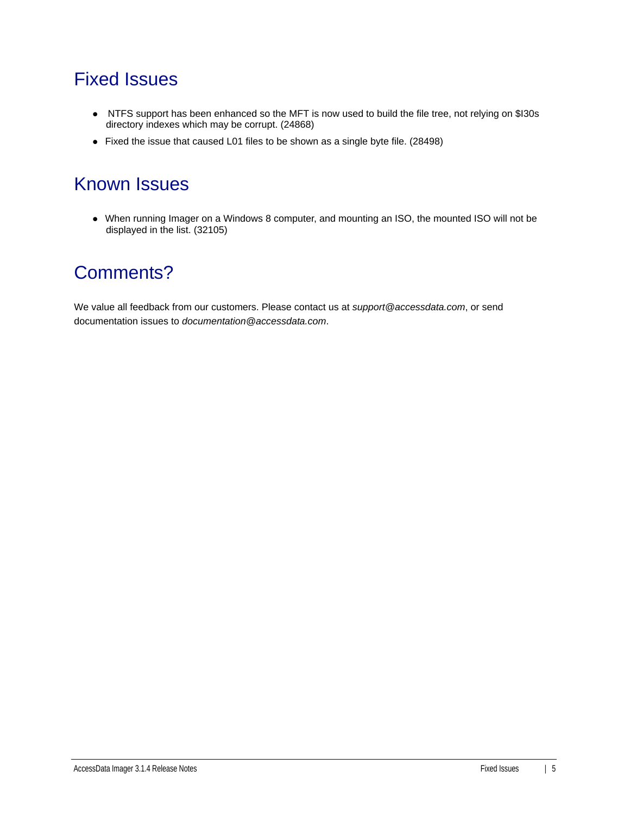#### Fixed Issues

- NTFS support has been enhanced so the MFT is now used to build the file tree, not relying on \$I30s directory indexes which may be corrupt. (24868)
- Fixed the issue that caused L01 files to be shown as a single byte file. (28498)

#### Known Issues

When running Imager on a Windows 8 computer, and mounting an ISO, the mounted ISO will not be displayed in the list. (32105)

#### Comments?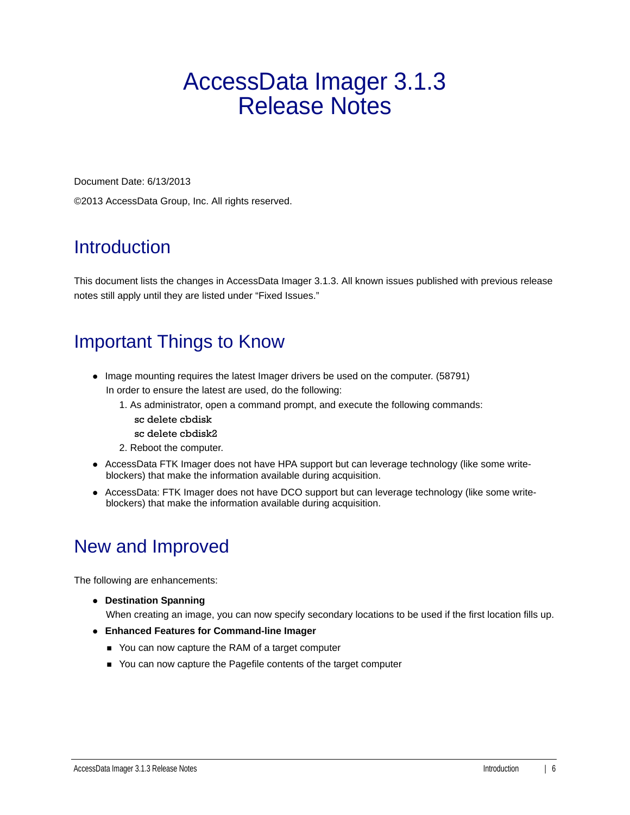# AccessData Imager 3.1.3 Release Notes

Document Date: 6/13/2013

©2013 AccessData Group, Inc. All rights reserved.

### Introduction

This document lists the changes in AccessData Imager 3.1.3. All known issues published with previous release notes still apply until they are listed under "Fixed Issues."

## Important Things to Know

- Image mounting requires the latest Imager drivers be used on the computer. (58791) In order to ensure the latest are used, do the following:
	- 1. As administrator, open a command prompt, and execute the following commands:
		- sc delete cbdisk
		- sc delete cbdisk2
	- 2. Reboot the computer.
- AccessData FTK Imager does not have HPA support but can leverage technology (like some writeblockers) that make the information available during acquisition.
- AccessData: FTK Imager does not have DCO support but can leverage technology (like some writeblockers) that make the information available during acquisition.

# New and Improved

The following are enhancements:

**Destination Spanning**

When creating an image, you can now specify secondary locations to be used if the first location fills up.

- **Enhanced Features for Command-line Imager**
	- You can now capture the RAM of a target computer
	- You can now capture the Pagefile contents of the target computer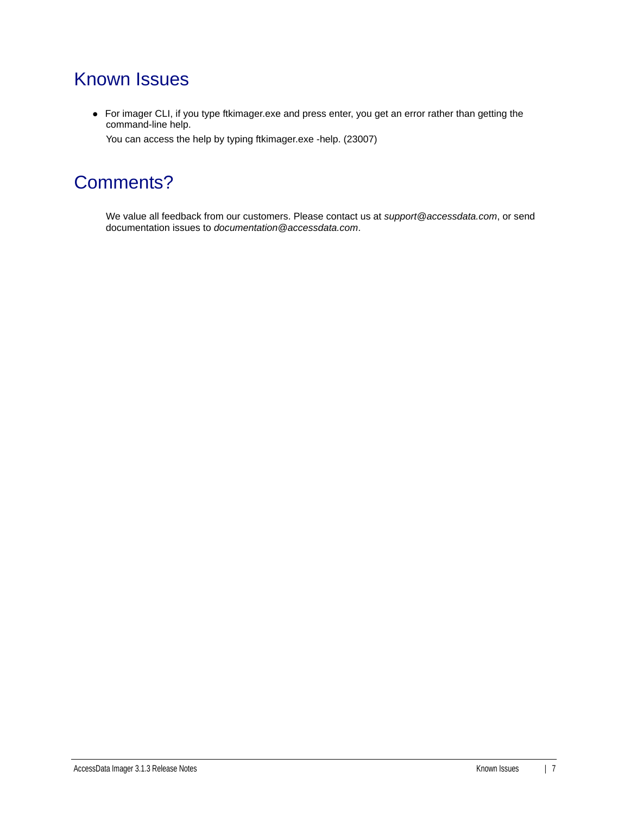#### Known Issues

For imager CLI, if you type ftkimager.exe and press enter, you get an error rather than getting the command-line help.

You can access the help by typing ftkimager.exe -help. (23007)

#### Comments?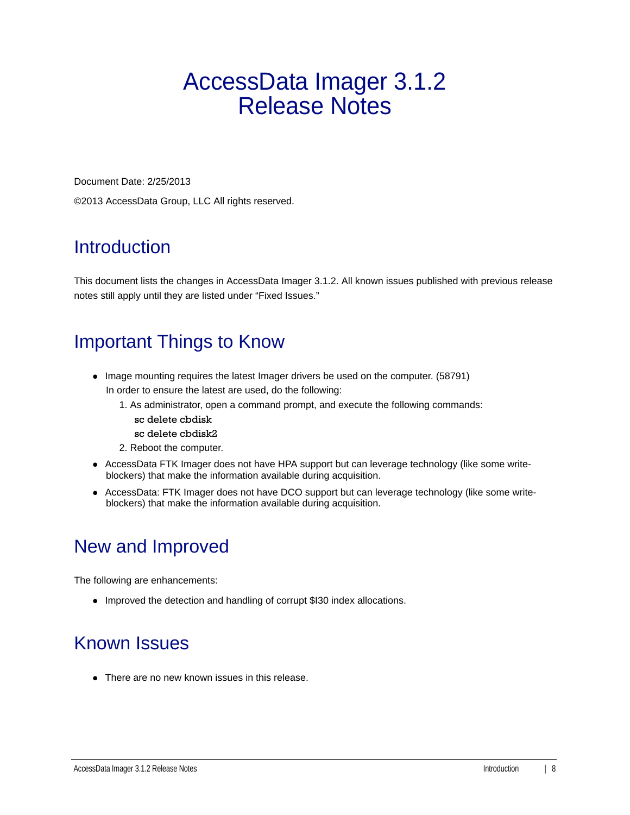# AccessData Imager 3.1.2 Release Notes

Document Date: 2/25/2013

©2013 AccessData Group, LLC All rights reserved.

### **Introduction**

This document lists the changes in AccessData Imager 3.1.2. All known issues published with previous release notes still apply until they are listed under "Fixed Issues."

# Important Things to Know

- Image mounting requires the latest Imager drivers be used on the computer. (58791) In order to ensure the latest are used, do the following:
	- 1. As administrator, open a command prompt, and execute the following commands:
		- sc delete cbdisk
		- sc delete cbdisk2
	- 2. Reboot the computer.
- AccessData FTK Imager does not have HPA support but can leverage technology (like some writeblockers) that make the information available during acquisition.
- AccessData: FTK Imager does not have DCO support but can leverage technology (like some writeblockers) that make the information available during acquisition.

### New and Improved

The following are enhancements:

• Improved the detection and handling of corrupt \$I30 index allocations.

### Known Issues

• There are no new known issues in this release.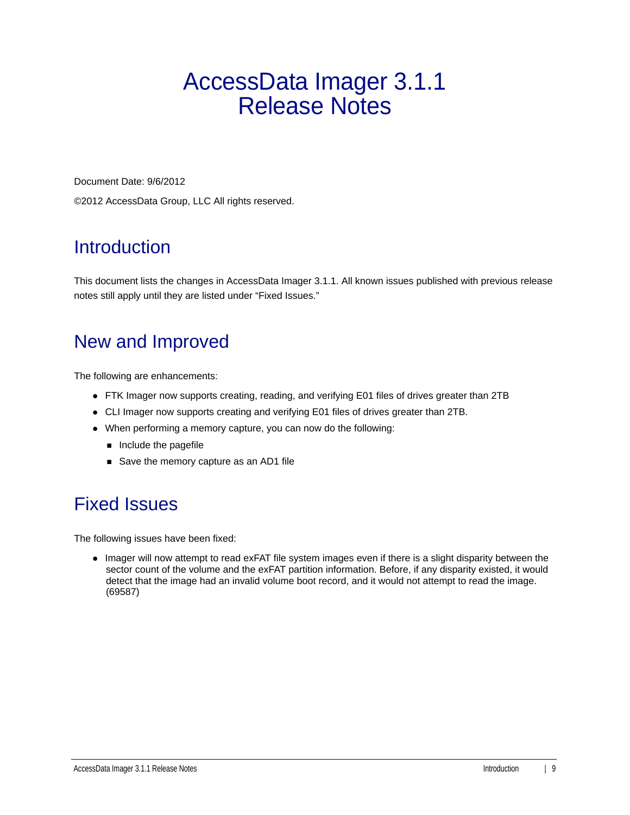# AccessData Imager 3.1.1 Release Notes

Document Date: 9/6/2012

©2012 AccessData Group, LLC All rights reserved.

## **Introduction**

This document lists the changes in AccessData Imager 3.1.1. All known issues published with previous release notes still apply until they are listed under "Fixed Issues."

## New and Improved

The following are enhancements:

- FTK Imager now supports creating, reading, and verifying E01 files of drives greater than 2TB
- CLI Imager now supports creating and verifying E01 files of drives greater than 2TB.
- When performing a memory capture, you can now do the following:
	- $\blacksquare$  Include the pagefile
	- Save the memory capture as an AD1 file

### Fixed Issues

The following issues have been fixed:

• Imager will now attempt to read exFAT file system images even if there is a slight disparity between the sector count of the volume and the exFAT partition information. Before, if any disparity existed, it would detect that the image had an invalid volume boot record, and it would not attempt to read the image. (69587)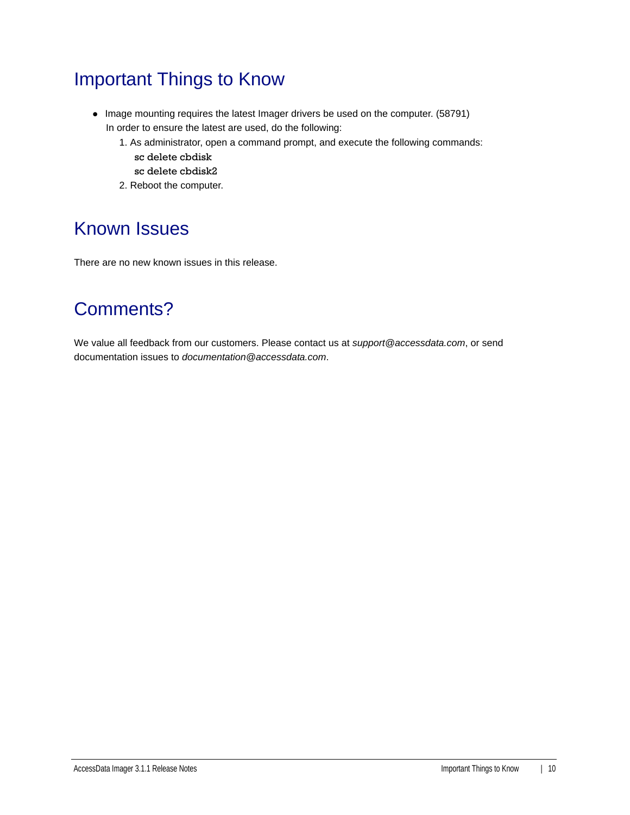### Important Things to Know

- Image mounting requires the latest Imager drivers be used on the computer. (58791) In order to ensure the latest are used, do the following:
	- 1. As administrator, open a command prompt, and execute the following commands: sc delete cbdisk
		- sc delete cbdisk2
	- 2. Reboot the computer.

#### Known Issues

There are no new known issues in this release.

#### Comments?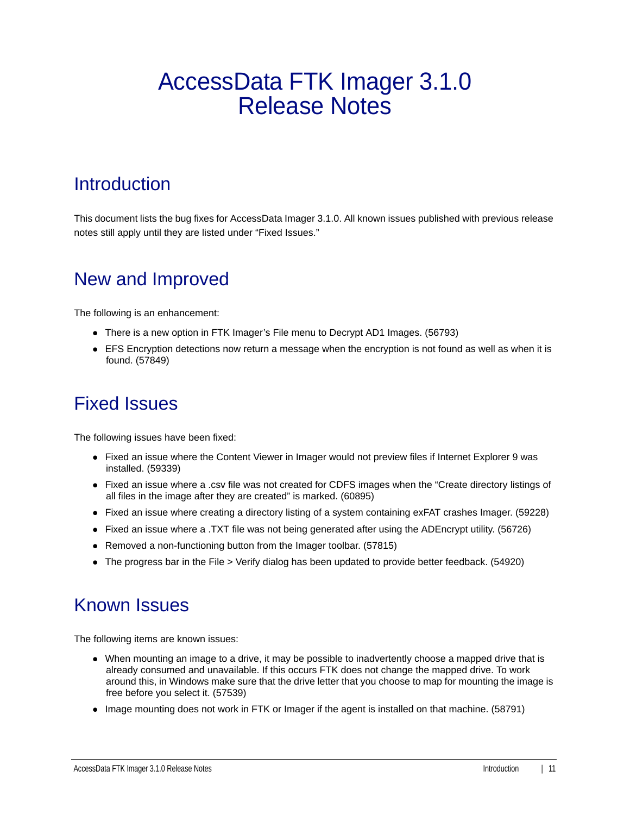# AccessData FTK Imager 3.1.0 Release Notes

#### **Introduction**

This document lists the bug fixes for AccessData Imager 3.1.0. All known issues published with previous release notes still apply until they are listed under "Fixed Issues."

#### New and Improved

The following is an enhancement:

- There is a new option in FTK Imager's File menu to Decrypt AD1 Images. (56793)
- EFS Encryption detections now return a message when the encryption is not found as well as when it is found. (57849)

#### Fixed Issues

The following issues have been fixed:

- Fixed an issue where the Content Viewer in Imager would not preview files if Internet Explorer 9 was installed. (59339)
- Fixed an issue where a .csv file was not created for CDFS images when the "Create directory listings of all files in the image after they are created" is marked. (60895)
- Fixed an issue where creating a directory listing of a system containing exFAT crashes Imager. (59228)
- Fixed an issue where a .TXT file was not being generated after using the ADEncrypt utility. (56726)
- Removed a non-functioning button from the Imager toolbar. (57815)
- The progress bar in the File > Verify dialog has been updated to provide better feedback. (54920)

#### Known Issues

The following items are known issues:

- When mounting an image to a drive, it may be possible to inadvertently choose a mapped drive that is already consumed and unavailable. If this occurs FTK does not change the mapped drive. To work around this, in Windows make sure that the drive letter that you choose to map for mounting the image is free before you select it. (57539)
- Image mounting does not work in FTK or Imager if the agent is installed on that machine. (58791)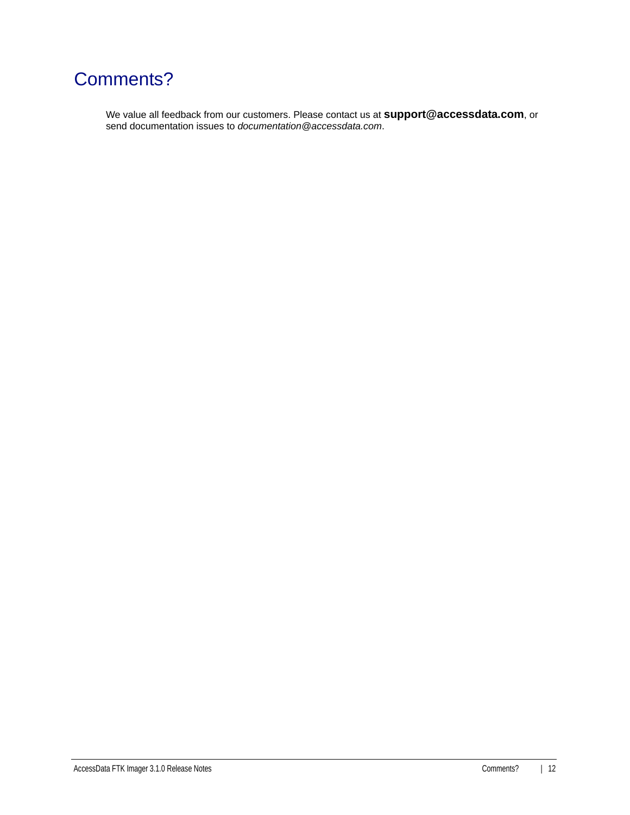